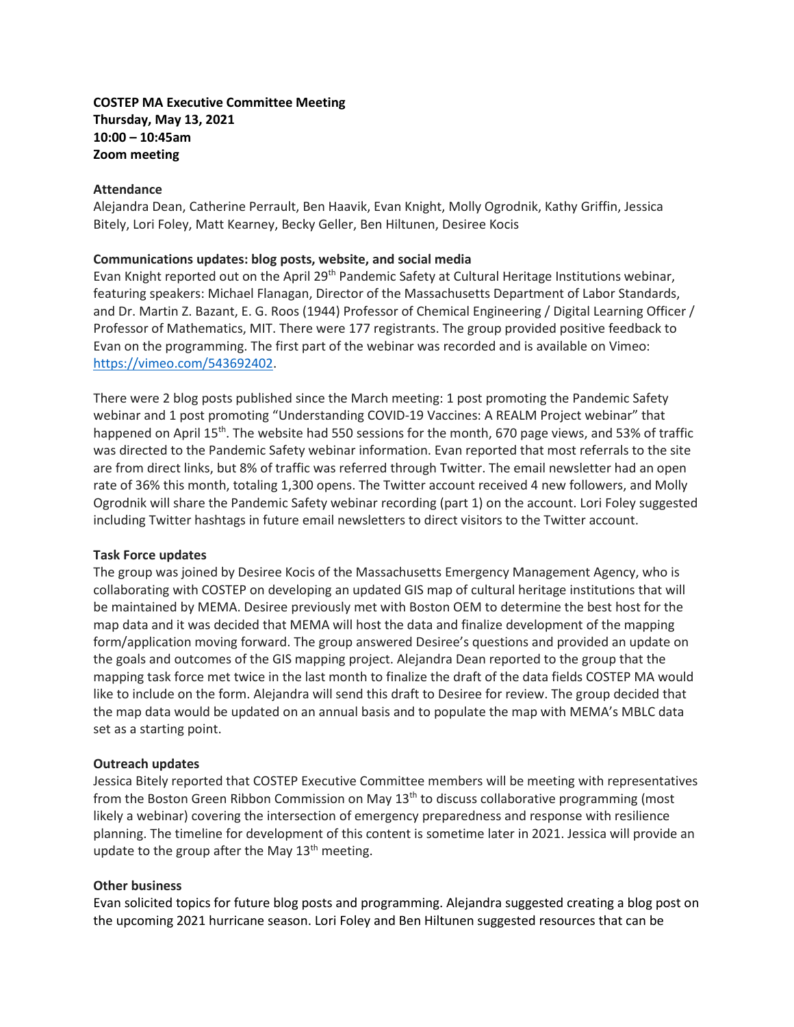# **COSTEP MA Executive Committee Meeting Thursday, May 13, 2021 10:00 – 10:45am Zoom meeting**

## **Attendance**

Alejandra Dean, Catherine Perrault, Ben Haavik, Evan Knight, Molly Ogrodnik, Kathy Griffin, Jessica Bitely, Lori Foley, Matt Kearney, Becky Geller, Ben Hiltunen, Desiree Kocis

## **Communications updates: blog posts, website, and social media**

Evan Knight reported out on the April 29<sup>th</sup> Pandemic Safety at Cultural Heritage Institutions webinar, featuring speakers: Michael Flanagan, Director of the Massachusetts Department of Labor Standards, and Dr. Martin Z. Bazant, E. G. Roos (1944) Professor of Chemical Engineering / Digital Learning Officer / Professor of Mathematics, MIT. There were 177 registrants. The group provided positive feedback to Evan on the programming. The first part of the webinar was recorded and is available on Vimeo: [https://vimeo.com/543692402.](https://vimeo.com/543692402)

There were 2 blog posts published since the March meeting: 1 post promoting the Pandemic Safety webinar and 1 post promoting "Understanding COVID-19 Vaccines: A REALM Project webinar" that happened on April 15<sup>th</sup>. The website had 550 sessions for the month, 670 page views, and 53% of traffic was directed to the Pandemic Safety webinar information. Evan reported that most referrals to the site are from direct links, but 8% of traffic was referred through Twitter. The email newsletter had an open rate of 36% this month, totaling 1,300 opens. The Twitter account received 4 new followers, and Molly Ogrodnik will share the Pandemic Safety webinar recording (part 1) on the account. Lori Foley suggested including Twitter hashtags in future email newsletters to direct visitors to the Twitter account.

#### **Task Force updates**

The group was joined by Desiree Kocis of the Massachusetts Emergency Management Agency, who is collaborating with COSTEP on developing an updated GIS map of cultural heritage institutions that will be maintained by MEMA. Desiree previously met with Boston OEM to determine the best host for the map data and it was decided that MEMA will host the data and finalize development of the mapping form/application moving forward. The group answered Desiree's questions and provided an update on the goals and outcomes of the GIS mapping project. Alejandra Dean reported to the group that the mapping task force met twice in the last month to finalize the draft of the data fields COSTEP MA would like to include on the form. Alejandra will send this draft to Desiree for review. The group decided that the map data would be updated on an annual basis and to populate the map with MEMA's MBLC data set as a starting point.

#### **Outreach updates**

Jessica Bitely reported that COSTEP Executive Committee members will be meeting with representatives from the Boston Green Ribbon Commission on May 13<sup>th</sup> to discuss collaborative programming (most likely a webinar) covering the intersection of emergency preparedness and response with resilience planning. The timeline for development of this content is sometime later in 2021. Jessica will provide an update to the group after the May  $13<sup>th</sup>$  meeting.

#### **Other business**

Evan solicited topics for future blog posts and programming. Alejandra suggested creating a blog post on the upcoming 2021 hurricane season. Lori Foley and Ben Hiltunen suggested resources that can be